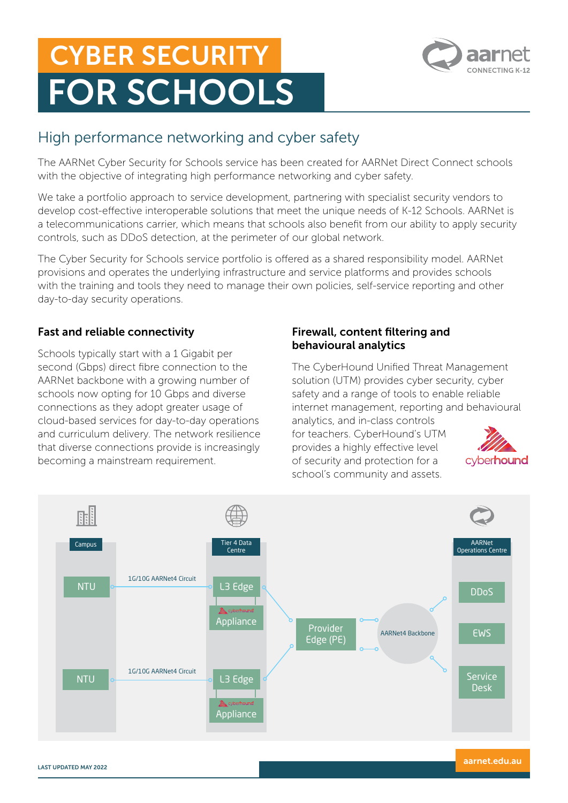# CYBER SECURITY FOR SCHOOLS



# High performance networking and cyber safety

The AARNet Cyber Security for Schools service has been created for AARNet Direct Connect schools with the objective of integrating high performance networking and cyber safety.

We take a portfolio approach to service development, partnering with specialist security vendors to develop cost-effective interoperable solutions that meet the unique needs of K-12 Schools. AARNet is a telecommunications carrier, which means that schools also benefit from our ability to apply security controls, such as DDoS detection, at the perimeter of our global network.

The Cyber Security for Schools service portfolio is offered as a shared responsibility model. AARNet provisions and operates the underlying infrastructure and service platforms and provides schools with the training and tools they need to manage their own policies, self-service reporting and other day-to-day security operations.

# Fast and reliable connectivity

Schools typically start with a 1 Gigabit per second (Gbps) direct fibre connection to the AARNet backbone with a growing number of schools now opting for 10 Gbps and diverse connections as they adopt greater usage of cloud-based services for day-to-day operations and curriculum delivery. The network resilience that diverse connections provide is increasingly becoming a mainstream requirement.

#### Firewall, content filtering and behavioural analytics

The CyberHound Unified Threat Management solution (UTM) provides cyber security, cyber safety and a range of tools to enable reliable internet management, reporting and behavioural

analytics, and in-class controls for teachers. CyberHound's UTM provides a highly effective level of security and protection for a school's community and assets.



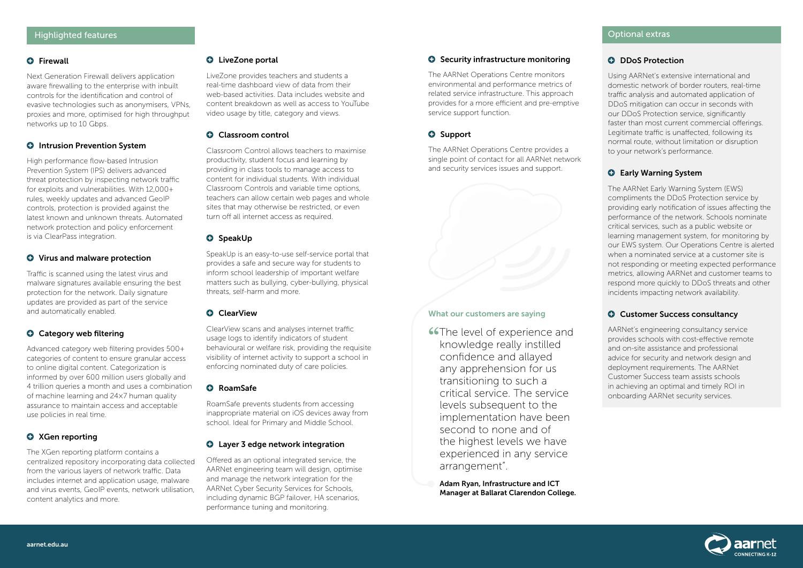#### **O** Firewall

Next Generation Firewall delivers application aware firewalling to the enterprise with inbuilt controls for the identification and control of evasive technologies such as anonymisers, VPNs, proxies and more, optimised for high throughput networks up to 10 Gbps.

#### **O** Intrusion Prevention System

High performance flow-based Intrusion Prevention System (IPS) delivers advanced threat protection by inspecting network traffic for exploits and vulnerabilities. With 12,000+ rules, weekly updates and advanced GeoIP controls, protection is provided against the latest known and unknown threats. Automated network protection and policy enforcement is via ClearPass integration.

#### **O** Virus and malware protection

Traffic is scanned using the latest virus and malware signatures available ensuring the best protection for the network. Daily signature updates are provided as part of the service and automatically enabled.

## **G** Category web filtering

Advanced category web filtering provides 500+ categories of content to ensure granular access to online digital content. Categorization is informed by over 600 million users globally and 4 trillion queries a month and uses a combination of machine learning and 24×7 human quality assurance to maintain access and acceptable use policies in real time.

## **O** XGen reporting

The XGen reporting platform contains a centralized repository incorporating data collected from the various layers of network traffic. Data includes internet and application usage, malware and virus events, GeoIP events, network utilisation, content analytics and more.

#### **O** LiveZone portal

LiveZone provides teachers and students a real-time dashboard view of data from their web-based activities. Data includes website and content breakdown as well as access to YouTube video usage by title, category and views.

#### **Q** Classroom control

Classroom Control allows teachers to maximise productivity, student focus and learning by providing in class tools to manage access to content for individual students. With individual Classroom Controls and variable time options, teachers can allow certain web pages and whole sites that may otherwise be restricted, or even turn off all internet access as required.

#### **O** SpeakUp

SpeakUp is an easy-to-use self-service portal that provides a safe and secure way for students to inform school leadership of important welfare matters such as bullying, cyber-bullying, physical threats, self-harm and more.

#### **O** ClearView

ClearView scans and analyses internet traffic usage logs to identify indicators of student behavioural or welfare risk, providing the requisite visibility of internet activity to support a school in enforcing nominated duty of care policies.

#### **O** RoamSafe

**"**The level of experience and knowledge really instilled confidence and allayed any apprehension for us transitioning to such a critical service. The service levels subsequent to the implementation have been second to none and of the highest levels we have experienced in any service arrangement".

RoamSafe prevents students from accessing inappropriate material on iOS devices away from school. Ideal for Primary and Middle School.

#### **O** Layer 3 edge network integration

Offered as an optional integrated service, the AARNet engineering team will design, optimise and manage the network integration for the AARNet Cyber Security Services for Schools, including dynamic BGP failover, HA scenarios, performance tuning and monitoring.

#### **O** Security infrastructure monitoring

The AARNet Operations Centre monitors environmental and performance metrics of related service infrastructure. This approach provides for a more efficient and pre-emptive service support function.

# **O** Support

The AARNet Operations Centre provides a single point of contact for all AARNet network and security services issues and support.

# **Q** DDoS Protection

Using AARNet's extensive international and domestic network of border routers, real-time traffic analysis and automated application of DDoS mitigation can occur in seconds with our DDoS Protection service, significantly faster than most current commercial offerings. Legitimate traffic is unaffected, following its normal route, without limitation or disruption to your network's performance.

# **G** Early Warning System

The AARNet Early Warning System (EWS) compliments the DDoS Protection service by providing early notification of issues affecting the performance of the network. Schools nominate critical services, such as a public website or learning management system, for monitoring by our EWS system. Our Operations Centre is alerted when a nominated service at a customer site is not responding or meeting expected performance metrics, allowing AARNet and customer teams to respond more quickly to DDoS threats and other incidents impacting network availability.

## **O** Customer Success consultancy

AARNet's engineering consultancy service provides schools with cost-effective remote and on-site assistance and professional advice for security and network design and deployment requirements. The AARNet Customer Success team assists schools in achieving an optimal and timely ROI in onboarding AARNet security services.



#### What our customers are saying

Adam Ryan, Infrastructure and ICT Manager at Ballarat Clarendon College.